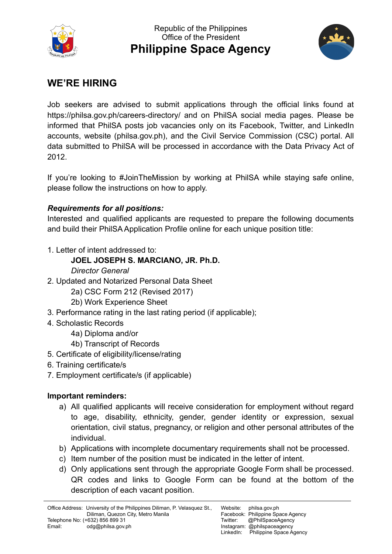



# **WE'RE HIRING**

Job seekers are advised to submit applications through the official links found at https://philsa.gov.ph/careers-directory/ and on PhilSA social media pages. Please be informed that PhilSA posts job vacancies only on its Facebook, Twitter, and LinkedIn accounts, website (philsa.gov.ph), and the Civil Service Commission (CSC) portal. All data submitted to PhilSA will be processed in accordance with the Data Privacy Act of 2012.

If you're looking to #JoinTheMission by working at PhilSA while staying safe online, please follow the instructions on how to apply.

## *Requirements for all positions:*

Interested and qualified applicants are requested to prepare the following documents and build their PhilSA Application Profile online for each unique position title:

1. Letter of intent addressed to:

## **JOEL JOSEPH S. MARCIANO, JR. Ph.D.**

#### *Director General*

- 2. Updated and Notarized Personal Data Sheet
	- 2a) CSC Form 212 (Revised 2017)
	- 2b) Work Experience Sheet
- 3. Performance rating in the last rating period (if applicable);
- 4. Scholastic Records
	- 4a) Diploma and/or
	- 4b) Transcript of Records
- 5. Certificate of eligibility/license/rating
- 6. Training certificate/s
- 7. Employment certificate/s (if applicable)

#### **Important reminders:**

- a) All qualified applicants will receive consideration for employment without regard to age, disability, ethnicity, gender, gender identity or expression, sexual orientation, civil status, pregnancy, or religion and other personal attributes of the individual.
- b) Applications with incomplete documentary requirements shall not be processed.
- c) Item number of the position must be indicated in the letter of intent.
- d) Only applications sent through the appropriate Google Form shall be processed. QR codes and links to Google Form can be found at the bottom of the description of each vacant position.